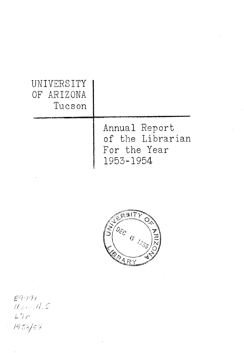| UNIVERSITY<br>OF ARIZONA<br>Tueson |                                                                |  |
|------------------------------------|----------------------------------------------------------------|--|
|                                    | Annual Report<br>of the Librarian<br>For the Year<br>1953-1954 |  |



 $E9.191$ <br>Uner A, S<br>L'Ir<br>1953/54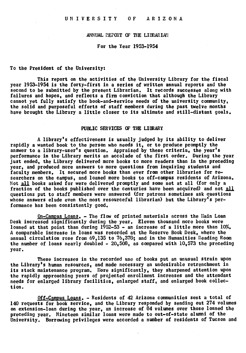## ANNUAL REPORT OF THE LIBRARIAN

For the Year 1953-1954

#### To the President of the University:

This report on the activities of the University Library for the fiscal year 1953-1954 is the forty-first in a series of written annual reports and the second to be submitted by the present Librarian. It records successes along with failures and hopes, and reflects a firm conviction that although the Library cannot yet fully satisfy the book-and-service needs of the university community, the solid and purposeful efforts of staff members during the past twelve months have brought the Library a little closer to its ultimate and still-distant goals.

#### PUBLIC SERVICES OF THE LIBRARY

A library's effectiveness is usually judged by its ability to deliver rapidly a wanted book to the person who needs it, or to produce promptly the answer to a library-user's question. Appraised by these criteria, the year's performance in the Library merits an accolade of the first order. During the year just ended, the Library delivered more books to more readers than in the preceding year, and produced more answers to more questions from inquiring students and faculty members. It secured more books than ever from other libraries for researchers on the campus, and loaned more books to off-campus residents of Arizona. Not all books asked for were delivered promptly and some not at all (for only a fraction of the books published over the centuries have been acquired) and not all questions put to staff members were answered (for patrons sometimes ask questions whose answers elude even the most resourceful librarian) but the Library's performance has been consistently good.

On-Campus Loans. - The flow of printed materials across the flain Loan Desk increased significantly during the year. Eleven thousand more books were loaned at that point than during  $1952-53$  - an increase of a little more than  $10\%$ . A comparable Increase in loans was recorded at the Reserve Book Desk, where the annual circulation rose from  $69,135$  to  $76,378$ ; and in the Humanities Reading Room the number of loans nearly doubled -  $20,508$ , as compared with  $10,573$  the preceding year.

These increases in the recorded use of books put an unusual strain upon the Library's human resources, and made necessary an undesirable retrenchment in its stack maintenance program. Nore significantly, they sharpened attention upon the rapidly approaching years of projected enrollment increases and the attendant needs for enlarged library facilities, enlarged staff, and enlarged book collect ion.

Off-Campus Loans. - Residents of 42 Arizona communities sent a total of 140 requests for book service, and the Library responded by sending out 274 volumes on extension-loan during the year, an increase of 84 volumes over those loaned the preceding year. Nineteen similar loans were made to out-of-state alumni of the University. Borrowing privileges were accorded a number of residents of Tucson and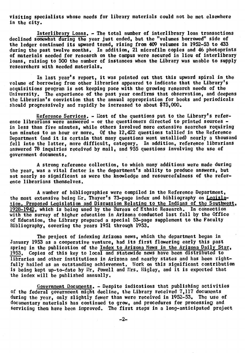visiting specialists whose needs for library materials could not be met elsewhere in the city.

Interlibrary Loans. - The total number of interlibrary loan transactions declined somewhat duríng the year just ended, but the "volumes borrowed" side of the ledger continued its upward trend, rising from 409 volumes in 1952-53 to 433 during the past twelve months. In addition, 21 microfilm copies and 46 photoprints of materials needed for research on the campus were secured in lieu of interlibrary loans, raising to 500 the number of instances when the Library was unable to supply researchers with needed materials,

In last year's report, it was pointed out that this upward spiral in the volume of borrowing from other libraries appeared to indicate that the Library's acquisitions program is not keeping pace with the growing research needs of the University. The experience of the past year confirms that observation, and deepens the Librarian's conviction that the annual appropriation for books and periodicals should progressively and rapidly be increased to about \$75.000.

Reference Services. - Most of the questions put to the Library's reference librarians were answered - or the questioners directed to printed sources in less than five minutes, while others involved more extensive searches requiring ten minutes to an hour or more. Of the 12,422 questions tallied in the Reference Department (and it is certain that many questions went untallied) nearly a thousand fell into the latter, more difficult, category. In addition, reference librarians answered 78 inquiries received by mail, and 955 questIons involving the use of government documents.

A strong reference collection, to which many additions were made during the year, was a vital factor in the department's ability to produce answers, but not nearly so signifìcant as were the knowledge and resourcefulness of the reference librariâns themselves,

A number of bibliographies were compiled in the Reference Department, the most extensive being Mr. Thayer's 73-page index and bibliography on Legislation, Proposed Legislation and Discussion Relating to the Indians of the Southwest, 1928-1942, which is being used by the Bureau of Ethnic Research. In connection with the survey of higher education in Arizona conducted last fall by the Office of Education, the Library prepared a special 53-page supplement to the Faculty Bibliography, covering the years 1951 through 1953,

The project of indexing Arizona news, which the department begàn in January 1953 as a cooperative venture, had its first flowering early this past spring in the publication of the Index to Arizona News in the Arizona Daily Star, 1953. Copies of this key to local and statewide news have been distributed to libraries and other institutions in Arizona and nearby states and has been rightfully hailed as an outstanding achievement. Work on this significant contribution is being kept up-to-date by Mr, Powell and Mrs. Higley, and it is expected that the index will be published annually.

Government Documents, - Despite indications that publishing activities of the federal government might decline, the Library received 7,117 documents during the year, only slightly fewer than were received in 1952-53. The use of documentary materials has continued to grow, and procedures for processinç and Servicing them have been improved. The first steps in a long-anticipated project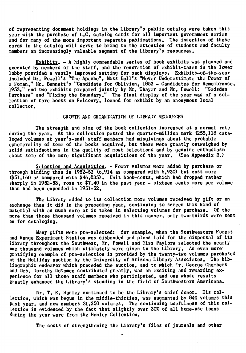of representing document holdings in the Library's public catalog were taken this<br>year with the purchase of L.C. catalog cards for all important government series<br>and for many of the more important separate publications. T cards in the catalog will serve to bring to the attention of students and faculty members an increasingly valuable segment of the Library's resources.

Exhibits. - A highly commendable series of book exhibits was planned and executed by members of the staff, and the renovation of exhibit-cases in the lower lobby provided a vastly improved setting for such displays. Exhibits-of-the-year included Mr. Powell's "The Apache", Miss Ball's "Never Underestimate the Power of included Nr. Powell's "The Apache", Miss Ball's "Never Underestimate the Power of<br>a Woman," Mr. Bennett's "Candidate for Oblivion, 1853 - Candidates for Remembrance, 1953," and two exhibits prepared jointly by Mr. Thayer and Mr, Powell: "Gadsden Furchase" and "Fixing the Boundary." The final display of the year was of a collection of rare books on Falconry, loaned for exhibit by an anonymous local collector.

#### GROWTH AND ORGANIZATION OF LIBRARY RESOURCES

The strength and size of the book collection increased at a normal rate during the year. As the collection passed the quarter-million mark (255,118 cataloged volumes at year's-end) staff members had misgivings about the probable ephemerality of some of the books acquired, but these were greatly outweighed by solid satisfactions in the quality of most selections and by genuine enthusiasm about some of the more significant acquisitions of the year. (See Appendix B.)

Selection and Acquisition. - Fewer volumes were added by purchase or through binding than in 1952-53  $(6.914$  as compared with 6.930) but cost more (\$51,160 as compared with \$46,835). Unit book-costs, which had dropped rather sharply in 1952-53, rose to \$7.40 in the past year - sixteen cents more per volume than had been expended in 1951-52.

The Library added to its collection more volumes received by gift or on exchange than it did in the preceding year, continuing to screen this kind of material with as much care as is taken in selecting volumes for purchase. Of the more than three thousand volumes received in this manner, only two-thirds were sent on for cataloging.

Many gifts were pre-selected: for example, when the Southwestern Forest and Range Experiment Station was disbanded and plans laid for the dispersal of its library throughout the Southwest, Mr. Powell and Miss Paylore selected the nearly one thousand volumes which ultimately were given to the Library. An even more gratifying example of pre-selection is provided by the twenty-two volumes purchased at the Holliday auction by the University of Arizona Library Associates. The bibliographic endeavor which preceded the auction, and to which Mr. George Chambers<br>and Mrs. Dorothy McNamee contributed greatly, was an exciting and rewarding ex-<br>perience for all those staff members who participated, and on

Mr. T. E. Hanley continued to be the Library's chief donor. His collection, which was begun in the middle-thirties, was augmented by 840 volumes this past year, and now numbers 31,258 volumes. The continuing usefulness of this collection is evidenced by the fact that slightly over 30% of all home-use loans during the year were from the Hanley Collection.

The costs of strengthening the Library's files of journals and other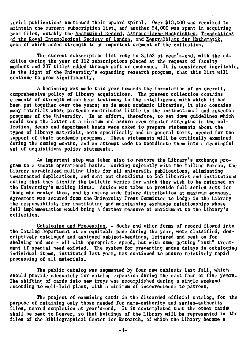serial publications continued their upward spiral. Over \$13,000 was required to maintain the current subscription list, and another \$4,000 was spent in acquiring back files, notably the Anatomical Record, Astronomische Nachrichten, Transactions of the Royal Entomological Society of London, and Zentralblatt fur Mathematik, each of which added strength to an important segment of the collection.

The current subscription list rose to 3,163 at year's-end, with the addition during the year of 112 subscriptions placed at the request of faculty members and 237 titles added through gift or exchange. It is considered inevitable, in the light of the University's expanding research program, that this list will continue to grow significantly.

A beginning was made this year towards the formulation of an overall, comprehensive policy of library acquisitions. The present collection contains elements of strength which bear testimony to the intelligence with which it has been put together over the years; as in most academic libraries, it also contains many materials whose presence contributes little to the instructional and research programs of the University. In an effort, therefore, to set down guidelines which would keep the latter at a minimum and assure even greater strengths in the collection, deans and department heads were asked to prepare statements about the types of library materials, both specifically and in general terms, needed for the support of their academic programs. These statements will be critically examined during the coming months, and an attempt made to coordinate them into a meaningful set of acquisitions policy statements.

An important step was taken also to restore the Library's exchange program to a smooth operational basis. Working cojointly with the Mailing Bureau, the Library scrutinized mailing lists for all university publications, eliminating unwarranted duplications, and sent out checklists to 565 libraries and institutions asking that they signify the bulletin series for which they wish to be retained on the University's mailing lists. Action was taken to provide full series sots for those who wanted them, and to ensure wide future distribution at maximum economy. Agreement was secured from the University Press Committee to lodge in the Library the responsibility for instituting and maintaining exchange relationships whose full implementation would bring a further measure of enrichment to the Library's collection.

Cataloging and Processing. - Books and other forms of record flowed into the Catalog Department at an equitable pace during the year, were classified, descriptively cataloged and assigned subject-headings, lettered and sent on for shelving and use - all with appropriate speed, but with some getting "rush" treatment if special need existed. The system for preventing undue delays in cataloging individual items, instituted last year, has continued to ensure relatively rapid processing of all materials.

The public catalog was augmented by four new cabinets last fall, which should provide adequately for catalog expansion during the next four or five years. The shifting of cards into new trays was accomplished during a single weekend according to well-laid plans, with a minimum of inconvenience to patrons.

The project of examining cards in the discarded official catalog, for the purpose of retaining only those needed for name-authority and series-authority files, neared completion at year's-end. It is contemplated that the other cards shall be sent to Denver, so that holdings of the Library will be represented in the files of the Bibliographical Center for Research, of which the Library became a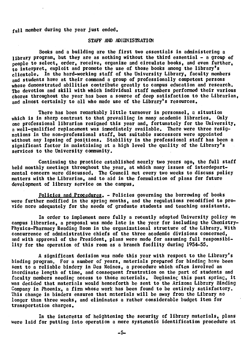## full member during the year just ended.

## STAFF AND ADMINISTRATION

Books and a building are the first two essentials in administering a library program, but they are as nothing without the third essential - a group of people to select, order, receive, organize and circulate books, and even further. to interpret, exploit and promote the use of those books among the library's clientele. In the hard-working staff of the University Library, faculty members and students have at their command a group of professionally competent persons whose demonstrated abilities contribute greatly to campus education and research. The devotion and skill with which individual staff members performed their various chores throughout the year has been a source of deep satisfaction to the Librarian, and almost certainly to all who made use of the Library's resources.

There has been remarkably little turnover in personnel, a situation which is in sharp contrast to that prevailing in many academic libraries. Only one professional librarian resigned this year and, fortunately for the University, a well-qualified replacement was immediately available. There were three resignations in the non-professional staff, but suitable successors were appointed without any lapsing of positions. Stability in the professional staff has been a significant factor in maintaining at a high level the quality of the Library's services to the University community.

Continuing the practice established nearly two years ago, the full staff held monthly meetings throughout the year, at which many issues of interdepartmental concern were discussed, The Council met every two weeks to discuss policy matters with the Librarian, and to aid in the formulation of plans for future development of library service on the campus.

Policies and Procedures. - Policies governing the borrowing of books were further modified in the spring months, and the regulations recodified to provide more adequately for the needs of graduate students and teaching assistants.

In order to implement more fully a recently adopted University policy on campus libraries, a proposal was made late In the year for including the Chemistry-Physics-Pharmacy Reading Room in the organizational structure of the Library. With concurrence of admïnistrative chiefs of the three academic divisions concerned, and with approval of the President, plans were made for assuming full responsibility for the operation of this room as a branch facility during 1954-55.

A significant decision was made this year with respect to the Library's binding program. For a number of years, materials prepared for binding have been sent to a reliable bindery in Des Moines, a procedure which often involved an inordinate length of time, and consequent frustration on the part of students and faculty members needing access to those materials. Beginninç this past spring, it was decided that materials would henceforth be sent to the Arizona Library Binding Company in Phoenix, a firm whose work has been found to be entirely satisfactory. This change in binders ensures that materials will be away from the Library no longer than three weeks, and eliminates a rather considerable budget item for transportation charges.

In the interests of heightening the security of library materials, plans were laid for putting into operation a more systematic identification procedure at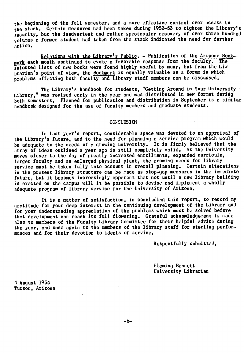the beginning of the fall semester, and a more effective control over access to the stack. Certain measures had been taken during 1952-53 to tighten the Library's security, but the inadvertent and rather spectacular recovery of over three hundred volumes a former student had taken from the stack indicated the need for further  $action.$ 

Relations with the Library's Public. - Publication of the Arizona Book- $_{\tt mark}$  each month continued to evoke a favorable response from the faculty. The selected lists of new books were found highly useful by many, but from the Librarian's point of view, the Bookmark is equally valuable as a forum in which problems affecting both faculty and library staff members can be discussed.

The Library's handbook for students, "Getting Around in Your UniversIty Library," was revised early in the year and was distributed in new format during both semesters. Planned for publication and distribution in September is a similar handbook designed for the use of faculty members and graduate students.

#### **CONCLUSION**

In last year's report, considerable space was devoted to an appraisal of the Library's future, and to the need for planning a service program which would be adequate to the needs of a çrowing university. It is firmly believed that the array of ideas outlined a year ago is still completely valid. As the University moves closer to the day of greatly increased enrollments, expanded curricula, larger faculty and an enlarged physical plant, the growing needs for library service must be taken fully into account in overall planning. Certain alterations in the present library structure can be made as stop-gap measures in the immediate future, but it becomes increasingly apparent that not until a new library building is erected on the campus will it be possible to devise and implement a wholly adequate program of library service for the University of Arizona.

It is a matter of satisfaction, in concluding this report, to record my gratitude for your deep interest in the continuing development of the Library and for your understanding appreciation of the problems which must be solved before that development can reach its full flowering. Grateful acknowledgement is made also to members of the Faculty Library Committee for their helpful advice during the year, and once again to the members of the library staff for sterling performances and for their devotion to ideals of service.

Respectfully submitted,

Fleming Bennett University Librarian

4 August 1954 Tucson, Arizona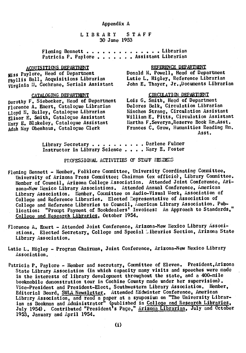## LIBRARY STAFF 30 June 1953

## Fleming Bennett . . . . . . . . . . . . . Librarian Patricia P. Paylore . . . . . . . Assistant Librarian

## ACOUISITIONS DEPARTMENT

Miss Paylore, Head of Department Phyllis Ball, Acquisitions Librarian Virginia II. Cochrane, Serials Assistant

#### CATALOGING DEPARTMENT

norothy F. Siebecker, Head of Department Florence A. Emert, Catalogue Librarian Lloyd M. Bailey, Catalogue Librarian Elinor E. Smith, Catalogue Assistant<br>Mary E. Blakeley, Catalogue Assistant Adah May Obenhaus, Catalogue Clerk

## REFERENCE DEPARTMENT

Donald M. Powell, Head of Department<br>Lutie L. Higley, Reference Librarian John E. Thayer, Jr., Documents Librarian

## CIRCULATION DEPARTMENT

Lois G. Smith, Head of Department Delores Belk, Circulation Librarian Minchen Strang. Circulation Assistant William E. Pitts, Circulation Assistant Martha F. Severyn. Reserve Book Rm. Asst. Frances C. Grow. Humanities Reading Rm. Asst.

Library Secretary . . . . . . . . . Darlene Fulmer Instructor in Library Science . . . . Mary E. Foster

## PROFESSIONAL ACTIVITIES OF STAFF MEMBERS

- Fleming Bennett Member, Folklore Committee, University Coordinating Committee, University of Arizona Fress Committee; Chairman (ex officio), Library Committee. Member of Council, Arizona College Association. Attended Joint Conference, Arizona-New Mexico Library Associations. Attended Annual Conference, American Library Association. Member, Committee on Audio-Visual Work, Association of College and Reference Libraries. Elected Representative of Association of College and Reference Libraries to Council, American Library Association. Pub-<br>lication: "Prompt Payment of Bookdealers' Invoices: An Approach to Standards," College and Research Libraries, October 1954.
- Florence A. Emert Attended Joint Conference, Arizona-New Mexico Library Associations. Elected Secretary. College and Special Libraries Section. Arizona State Library Association.
- Lutie L. Higley Program Chairman, Joint Conference, Arizona-New Mexico Library Association.
- Patricia P. Paylore Member and secretary, Committee of Eleven. President, Arizona State Library Association (in which capacity many visits and speeches were made in the interests of library development throughout the state, and a 400-mile bookmobile demonstration tour in Cochise County made under her supervision). Vice-President and President-Elect, Southwestern Library Association. Member, Editorial Board, SWLA Newsletter. Attended Midwinter Conference, American Library Association, and read a paper at a symposium on "The University Librarian as Bookman and Administrator" (published in College and Research Libraries,<br>July 1954). Contributed "President's Page," Arizona Librarian, July and Cotober 1953. January and April 1954.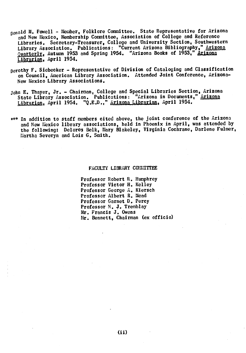- ßonald M. Powell Member, Folklore Committee. State Representative for Arizona and New Mexico, Membership Committee, Association of College and Reference Libraries. Secretary-Treasurer, College and University Section, Southwestern Library Association. Publications: "Current Arizona Bibliography," Arizona Quarterly, Autumn 1953 and Spring 1954. "Arizona Books of 1953." Arizona Librarian, April 1954.
- Dorothy F. Siebecker Representative of Division of Cataloging and Classification on Council, American Library Association. Attended Joint Conference, Arizona-New Mexico Library Associations.
- John E. Thayer, Jr. Chairman, College and Special Libraries Section, Arizona State Library Association. Publications: "Arizona in Documents," Arizona Librarian, April 1954. "Q.E.D.," Arizona Librarian, April 1954.
- \*\*\* In addition to staff members cited above, the joint conference of the Arizona and New Mexico library associations, held in Phoenix in April, was attended by the following: Delores Belk, Mary Blakeley, Virginia Cochrane, Darlene Fulmer, Martha Severyn and Lois G. Smith.

#### FACULTY LIBRARY COMMITTEE

Professor Robert R. Humphrey Professor Victor H. Kelley Professor George h. Kiersch Professor Albert R. Mead Professor Garnet D. Percy Professor N. J. Tremblay Mr. Francis J. Owens Mr. Bennett, Chairman (ex officio)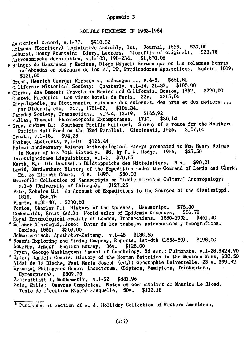## Appendix B

## NOTABLE PURCHASES OF 1953-1954

Anatomical Record, v.1-77. \$910.32 Arizona (Territory) Legislative Assembly, 1st. Journal, 1865. \$30.00 Ashurst, Henry Fountaint Diary, Letters. Microfilm of originals.  $$33.75$ Astronomische Nachrichten, v.1-183, 198-234.  $$1.870.05$ \* Bringas de Llanzaneda y Encinas, Diego Miguel: Sermon que en las solemnes honras celebradas en obseguio de los VV. PP. Predicadores Apostolicos. Madrid: 1819. \$121.00 Bronn, Henrich George: Klassen u. ordnungen ... v.4-5.  $$581.81$ California Historical Society: Quarterly. v.1-14, 21-32. \$185.00 \* Clarke, Asa Bement: Travels in Mexico and California. Boston. 1852. \$220.00 Contet, Frederic: Les vieux hotels de Paris. 22v. \$215.86 Encyclopedie, ou Dictionnaire raisonne des sciences, des arts et des metiers ... par Diderot, etc. 36v., 1781-82. \$106.34. Faraday Society, Transactions, v.2-4, 12-19. \$165.92 Fuller, Thomas: Pharmacopoeia Extemporanea. 1710.  $$30.14$ \* Gray, Andrew B.: Southern Pacific Railroad, Survey of a route for the Southern Pacific Rail Road on the 32nd Parallel. Cincinnati, 1856.  $$187,00$ Growth,  $v.1-18$ .  $$94.25$  $$126.44$ Herbage Abstracts, v.1-10 Holmes Anniversary Volume: Anthropological Essays presented to Wm, Henry Holmes in Honor of his 70th Birthday. Ed. by F. W. Hodge. 1916.<br>Investigaciones Linguisticas, v.1-5, \$70.65 \$27,50 Kurth, B.: Die Deutschen Bildteppeiche des Mittelalters. 3 v. \$90.21 Lewis, Meriwether: History of the Expedition under the Command of Lewis and Clark. Ed. by Elliott Coues.  $4 v. 1893.$  \$50.00 Microfilm Collection of Manuscripts on Middle American Cultural Anthropology. s.1-6 (University of Chicago).  $$127,25$ Pike, Zebulon M.: An Account of Expeditions to the Sources of the Mississippi.  $$66.78$ 1810. Planta,  $v.31-40$ , \$330.60 Poston, Charles D.: History of the Apaches. Manuscript. \$75.00 Rodenwaldt, Ernst (ed.) : World Atlas of Epidemic Diseases. \$56.70 Royal Entomological Society of London, Transactions, 1880-1952.  $$461,40$ \* Salazar Ylarregui, Jose: Datos de los trabajos astronomicos y topograficos. Mexico,  $1850$ .  $$209,00$ Schweizerische Apotheker-Zeitung. v.1-45 \$138.65 \* Sonora Exploring and Mining Company, Reports. 1st-4th (1856-59). \$198.00 Sowerby, James: English Botany. 36v.  $$125.00$ Tryon, George Washington: Manual of Conchology. 2d ser.: Pulmonata. v.1-28.\$424.90 \* Tyler, Daniel: Concise History of the Mormon Battalion in the Mexican Wars. \$38.50 Vidal de la Blache, Paul Marie Joseph (ed.): Geographie Universelle. 23 v. \$99.82 Wytsman, Philogene: Genera insectorum, Oiptera, Hemiptera, Trichoptera. Hymenoptera). \$309.75 Zentralblatt f. Mathematik. v.1-22 \$441.96 Zola, Emile: Oeuvres Completes. Notes et commentaires de Maurice Le Blond. Texte de l'edition Eugene Fasquelle. 50v. \$113.15

\* Purchased at auction of W. J. Holliday Collection of Western Americana.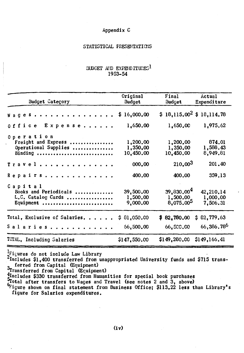## Appendix C

## STATISTICAL PRESENTATIONS

## **SUDGET AND EXPENDITURES1** 1953-54

| Budget Category                                                     | Original<br>Budget                | Final<br>Budget                                                | Actual<br>Expenditure             |
|---------------------------------------------------------------------|-----------------------------------|----------------------------------------------------------------|-----------------------------------|
| Wages                                                               | 16,000,00<br>Ş.                   | $$18,115.00^2 $18,114.78$                                      |                                   |
| 0 f f i c e<br>Expense                                              | 1,650.00                          | 1,650,00                                                       | 1,975.62                          |
| Operation<br>Freight and Express<br>Operational Supplies<br>Binding | 1,200,00<br>1,350,00<br>10,450.00 | 1,200,00<br>1,350.00<br>10,450.00                              | 874.01<br>1,588.43<br>8,949.81    |
| Travel                                                              | 000.00                            | 210.003                                                        | 201.40                            |
| Repairs                                                             | 400,00                            | 400.00                                                         | 359.13                            |
| Capital<br>Books and Periodicals<br>L.C. Catalog Cards<br>Equipment | 39,500.00<br>1,500.00<br>9,000.00 | 39,830,004<br>$1,500.00$ <sub>r</sub><br>8,075,00 <sup>5</sup> | 42,210.14<br>1,000.00<br>7,506.31 |
| Total, Exclusive of Salaries.                                       | 81,050.00<br>\$.                  | \$82,780.00                                                    | \$82,779.63                       |
| Salaries.                                                           | 66,500.00                         | 66,500.00                                                      | 66,386.786                        |
| TCTAL, Including Salaries                                           | \$147,550.00                      | \$149,280,00                                                   | \$149,166.41                      |

<sup>1</sup>Figures do not include Law Library

2Includes \$1,400 transferred from unappropriated University funds and \$715 transferred from Capital (Equipment)

3<br>Transferred from Capital (Equipment)<br>direction Capital (Equipment)<br>direction of the statement of the section of the sector<br>of the shown on final statement from Business Office; \$113.22 less than Library's<br>direction conce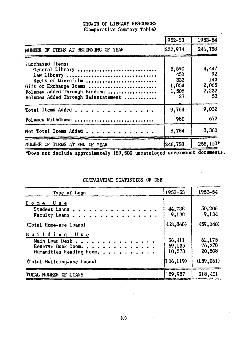## GROWTH OF LIBRARY RESOURCES (Comparative Summary Table)

|                                                                                                                                                                                   | 1952-53                                     | 1953-54                                      |
|-----------------------------------------------------------------------------------------------------------------------------------------------------------------------------------|---------------------------------------------|----------------------------------------------|
| NUMBER OF ITEMS AT BEGINNING OF YEAR                                                                                                                                              | 237,974                                     | 246,758                                      |
| <b>Furchased Items:</b><br>General Library<br>Law Library<br>Reels of Microfilm<br>Gift or Exchange Items<br>Volumes Added Through Binding<br>Volumes Added Through Reinstatement | 5,590<br>452<br>333<br>1,854<br>1,508<br>27 | 4,447<br>- 92<br>143<br>2,065<br>2,232<br>53 |
| Total Items Added                                                                                                                                                                 | 9,764                                       | 9,032                                        |
| Volumes Withdrawn                                                                                                                                                                 | 980                                         | 672                                          |
| Net Total Items Added                                                                                                                                                             | 8,784                                       | 8,360                                        |
| NUMBER OF ITEMS AT END OF YEAR                                                                                                                                                    | 246,758                                     | 255,118*                                     |

\*Does not include approximately 189,500 uncataloged government documents.

## COMPARATIVE STATISTICS CF USE

| Type of Loan                                                                                                   | 1952–53                                  | 1953-54                                  |
|----------------------------------------------------------------------------------------------------------------|------------------------------------------|------------------------------------------|
| Home Use<br>Student Loans<br>Faculty Loans,<br>(Total Home-use Loans)                                          | 44,738<br>9,130<br>(53, 868)             | 50,206<br>9,134<br>(59, 340)             |
| Building Use<br>Main Loan Desk<br>Reserve Book Room.<br>Humanities Reading Room.<br>(Total Building-use Loans) | 56,411<br>69,135<br>10,573<br>(136, 119) | 62,175<br>76,378<br>20,508<br>(159, 061) |
| TOTAL NUMBER OF LOANS                                                                                          | 189,987                                  | 218,401                                  |

 $\sim 10^7$